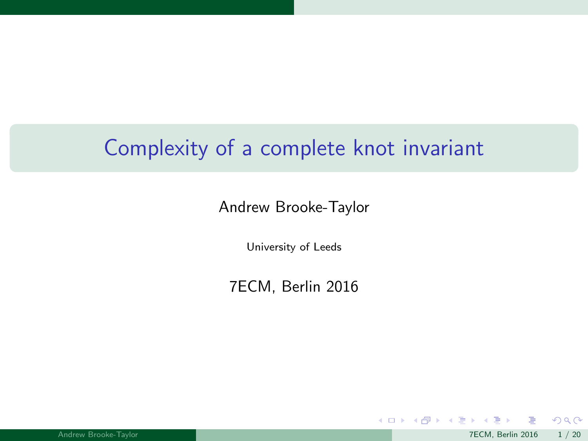# Complexity of a complete knot invariant

#### Andrew Brooke-Taylor

University of Leeds

7ECM, Berlin 2016

 $299$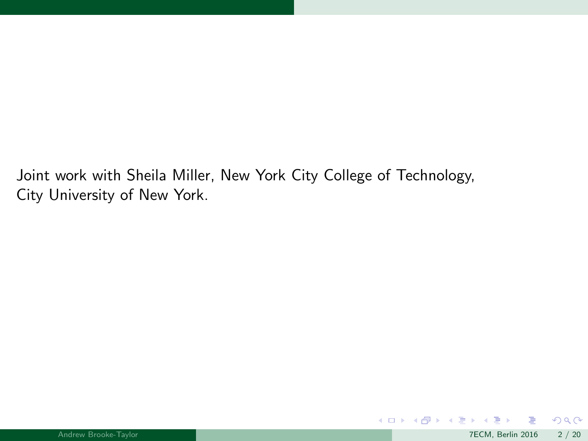Joint work with Sheila Miller, New York City College of Technology, City University of New York.

 $299$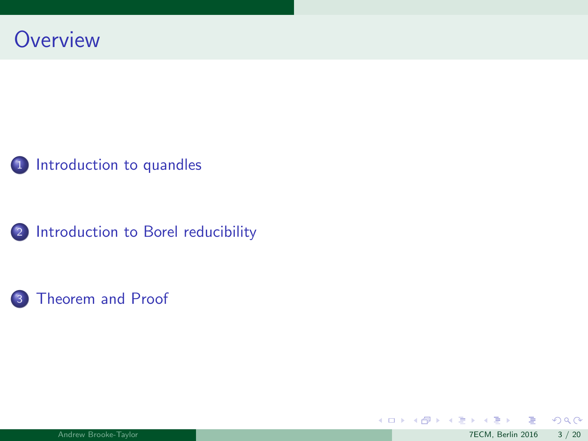







 $299$ 

メロトメ 倒 トメ ミトメ ミト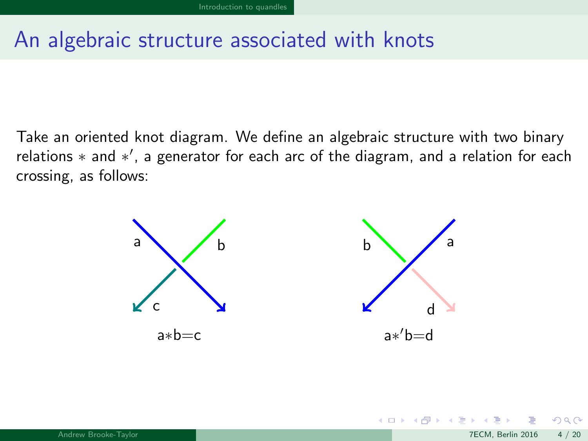# <span id="page-3-0"></span>An algebraic structure associated with knots

Take an oriented knot diagram. We define an algebraic structure with two binary relations \* and \*', a generator for each arc of the diagram, and a relation for each crossing, as follows:



 $\Omega$ 

メロメ メタメ メミメス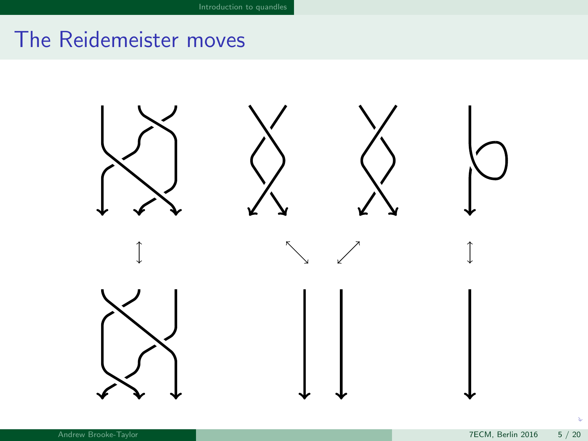# <span id="page-4-0"></span>The Reidemeister moves

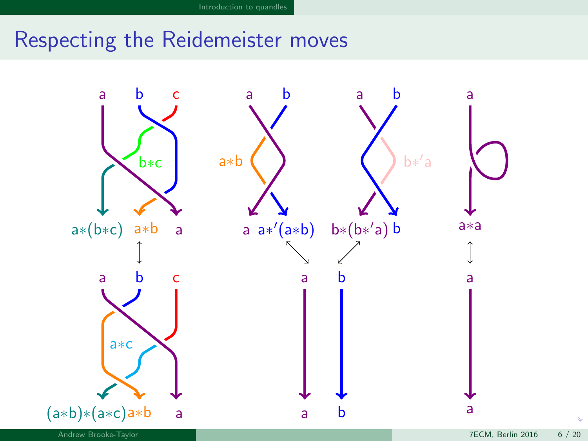# <span id="page-5-0"></span>Respecting the Reidemeister moves

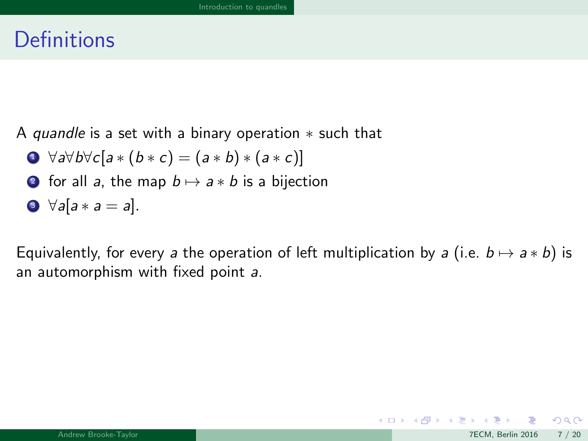## <span id="page-6-0"></span>**Definitions**

A quandle is a set with a binary operation  $*$  such that

$$
\bullet \ \forall a \forall b \forall c [a * (b * c) = (a * b) * (a * c)]
$$

**2** for all a, the map  $b \mapsto a * b$  is a bijection

$$
\bullet \ \forall a[a*a=a].
$$

Equivalently, for every a the operation of left multiplication by a (i.e.  $b \mapsto a * b$ ) is an automorphism with fixed point a.

K ロ ▶ K 個 ▶ K 듣 ▶ K 듣

 $299$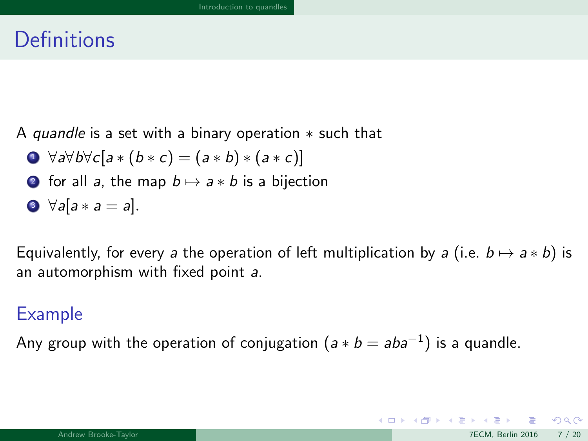## <span id="page-7-0"></span>**Definitions**

A quandle is a set with a binary operation  $*$  such that

$$
\bullet \ \forall a \forall b \forall c [a * (b * c) = (a * b) * (a * c)]
$$

**2** for all a, the map  $b \mapsto a * b$  is a bijection

$$
\bullet \ \forall a[a*a=a].
$$

Equivalently, for every a the operation of left multiplication by a (i.e.  $b \mapsto a * b$ ) is an automorphism with fixed point a.

#### Example

Any group with the operation of conjugation  $(a * b = aba^{-1})$  is a quandle.

 $\Omega$ 

 $\left\{ \begin{array}{ccc} 1 & 0 & 0 \\ 0 & 1 & 0 \end{array} \right.$   $\left\{ \begin{array}{ccc} 0 & 0 & 0 \\ 0 & 0 & 0 \end{array} \right.$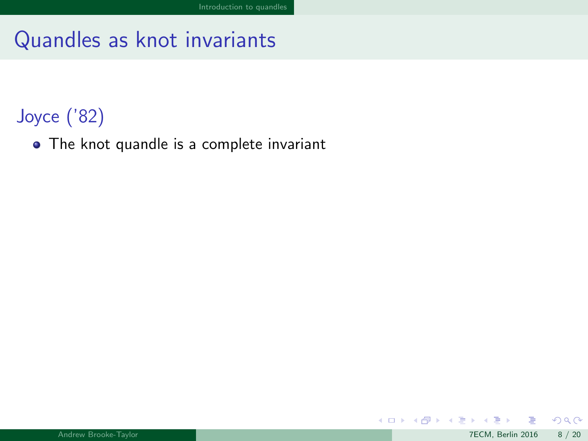## <span id="page-8-0"></span>Joyce ('82)

• The knot quandle is a complete invariant

舌

 $299$ 

メロメ メタメ メミメス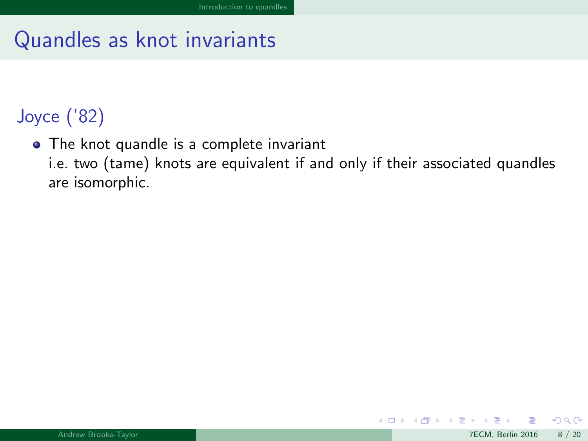# <span id="page-9-0"></span>Joyce ('82)

• The knot quandle is a complete invariant

i.e. two (tame) knots are equivalent if and only if their associated quandles are isomorphic.

メロト メ都 トメ ミトメ

 $\Omega$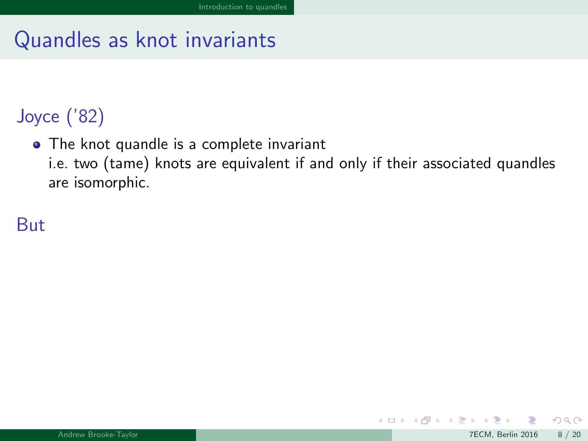# <span id="page-10-0"></span>Joyce ('82)

• The knot quandle is a complete invariant

i.e. two (tame) knots are equivalent if and only if their associated quandles are isomorphic.

### But

メロト メ都 トメ ミトメ

 $\Omega$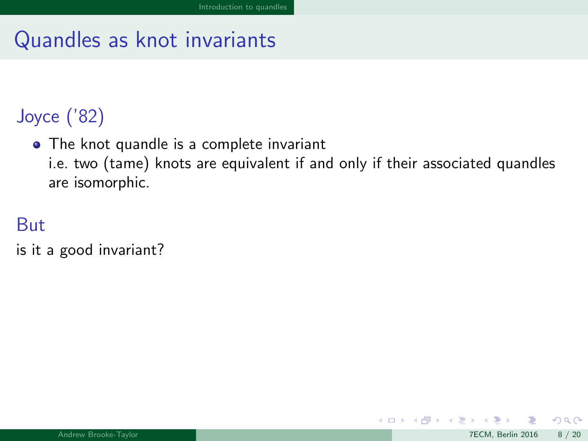# <span id="page-11-0"></span>Joyce ('82)

The knot quandle is a complete invariant

i.e. two (tame) knots are equivalent if and only if their associated quandles are isomorphic.

#### But

is it a good invariant?

メロト メ都 トメ ミトメ

 $QQ$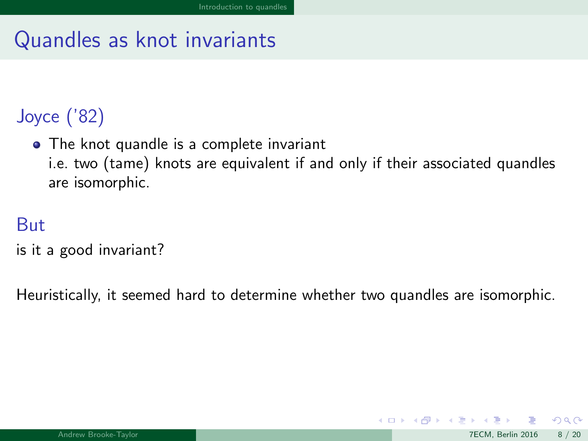# <span id="page-12-0"></span>Joyce ('82)

• The knot quandle is a complete invariant

i.e. two (tame) knots are equivalent if and only if their associated quandles are isomorphic.

#### But

is it a good invariant?

Heuristically, it seemed hard to determine whether two quandles are isomorphic.

 $\Omega$ 

イロト イ押 トイヨ トイヨ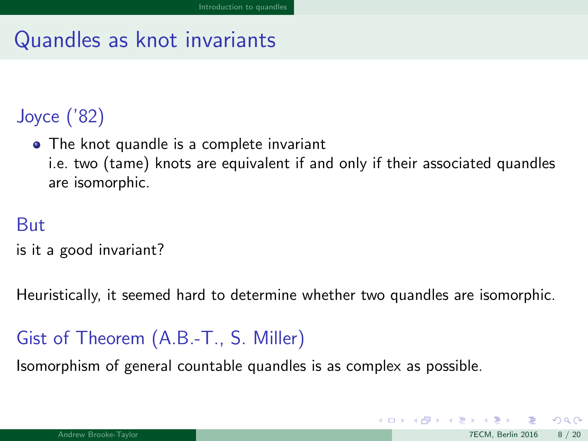# <span id="page-13-0"></span>Joyce ('82)

• The knot quandle is a complete invariant

i.e. two (tame) knots are equivalent if and only if their associated quandles are isomorphic.

#### But

is it a good invariant?

Heuristically, it seemed hard to determine whether two quandles are isomorphic.

### Gist of Theorem (A.B.-T., S. Miller)

Isomorphism of general countable quandles is as complex as possible.

 $\Omega$ 

 $\left\{ \begin{array}{ccc} 1 & 0 & 0 \\ 0 & 1 & 0 \end{array} \right\}$  ,  $\left\{ \begin{array}{ccc} 0 & 0 & 0 \\ 0 & 0 & 0 \end{array} \right\}$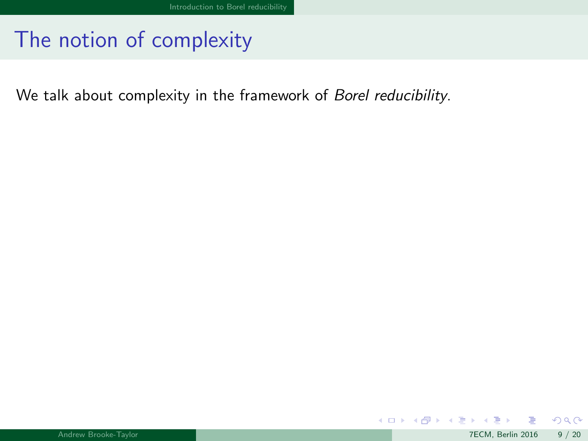<span id="page-14-0"></span>We talk about complexity in the framework of Borel reducibility.

 $299$ 

メロメ メ御 メメ きょうぼき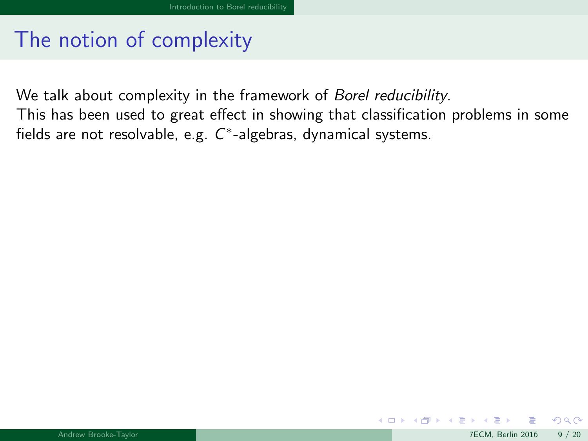<span id="page-15-0"></span>We talk about complexity in the framework of *Borel reducibility*. This has been used to great effect in showing that classification problems in some fields are not resolvable, e.g.  $C^*$ -algebras, dynamical systems.

 $\Omega$ 

メロメ メ御 メメ きょうぼき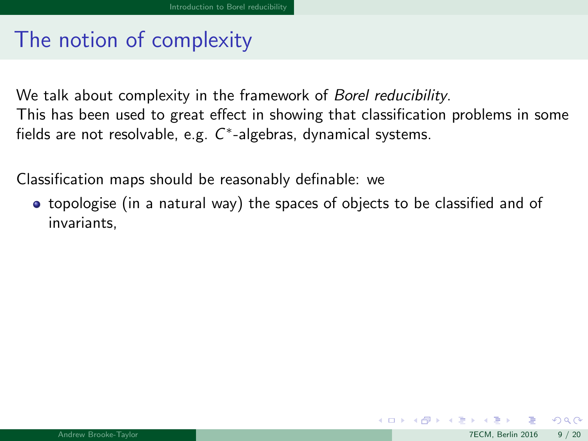<span id="page-16-0"></span>We talk about complexity in the framework of *Borel reducibility*. This has been used to great effect in showing that classification problems in some fields are not resolvable, e.g.  $C^*$ -algebras, dynamical systems.

Classification maps should be reasonably definable: we

• topologise (in a natural way) the spaces of objects to be classified and of invariants,

 $\Omega$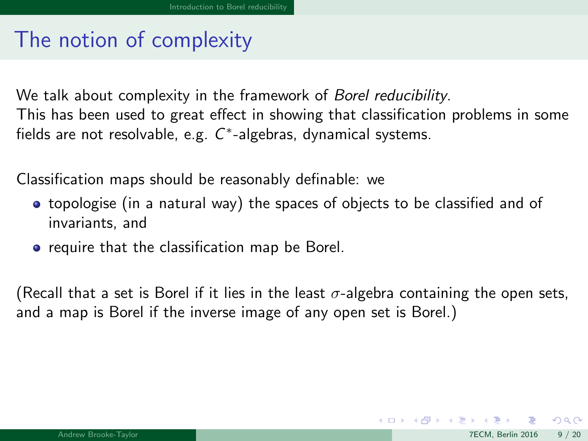<span id="page-17-0"></span>We talk about complexity in the framework of *Borel reducibility*. This has been used to great effect in showing that classification problems in some fields are not resolvable, e.g.  $C^*$ -algebras, dynamical systems.

Classification maps should be reasonably definable: we

- topologise (in a natural way) the spaces of objects to be classified and of invariants, and
- **•** require that the classification map be Borel.

(Recall that a set is Borel if it lies in the least  $\sigma$ -algebra containing the open sets, and a map is Borel if the inverse image of any open set is Borel.)

 $\Omega$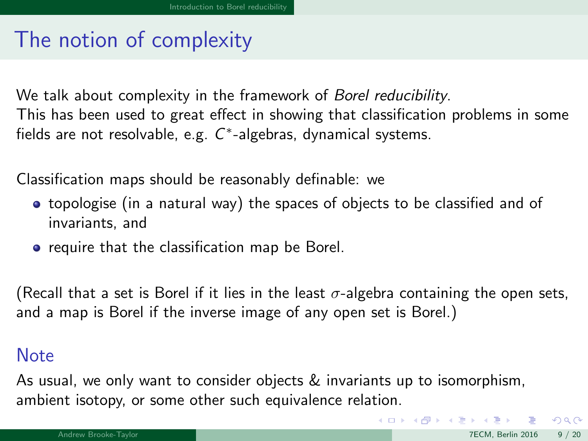<span id="page-18-0"></span>We talk about complexity in the framework of *Borel reducibility*. This has been used to great effect in showing that classification problems in some fields are not resolvable, e.g.  $C^*$ -algebras, dynamical systems.

Classification maps should be reasonably definable: we

- topologise (in a natural way) the spaces of objects to be classified and of invariants, and
- **•** require that the classification map be Borel.

(Recall that a set is Borel if it lies in the least  $\sigma$ -algebra containing the open sets, and a map is Borel if the inverse image of any open set is Borel.)

#### **Note**

As usual, we only want to consider objects & invariants up to isomorphism, ambient isotopy, or some other such equivalence relation.

 $\Omega$ 

 $\left\{ \begin{array}{ccc} 1 & 0 & 0 \\ 0 & 1 & 0 \end{array} \right\}$  ,  $\left\{ \begin{array}{ccc} 0 & 0 & 0 \\ 0 & 0 & 0 \end{array} \right\}$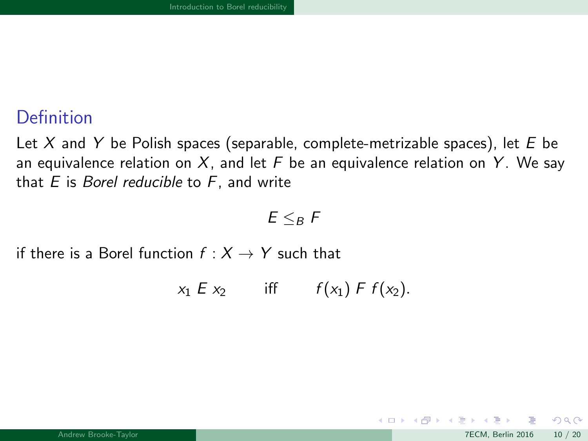#### <span id="page-19-0"></span>**Definition**

Let X and Y be Polish spaces (separable, complete-metrizable spaces), let  $E$  be an equivalence relation on X, and let F be an equivalence relation on Y. We say that  $E$  is *Borel reducible* to  $F$ , and write

#### $E \leq_B F$

if there is a Borel function  $f : X \rightarrow Y$  such that

 $x_1 E x_2$  iff  $f(x_1) F f(x_2)$ .

 $\Omega$ 

メロト メ押 トメミトメミ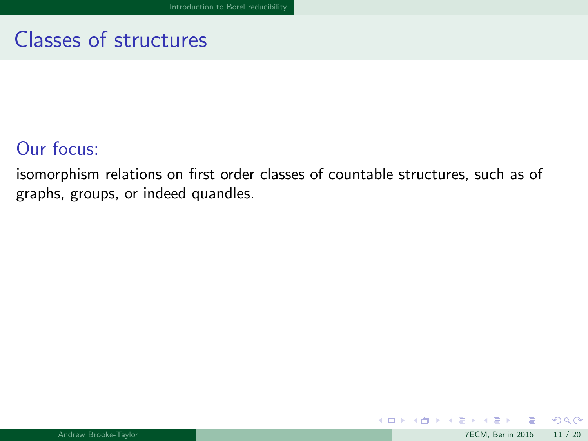# <span id="page-20-0"></span>Classes of structures

#### Our focus:

isomorphism relations on first order classes of countable structures, such as of graphs, groups, or indeed quandles.

K ロ ▶ K 御 ▶ K 경 ▶ K 경

 $2990$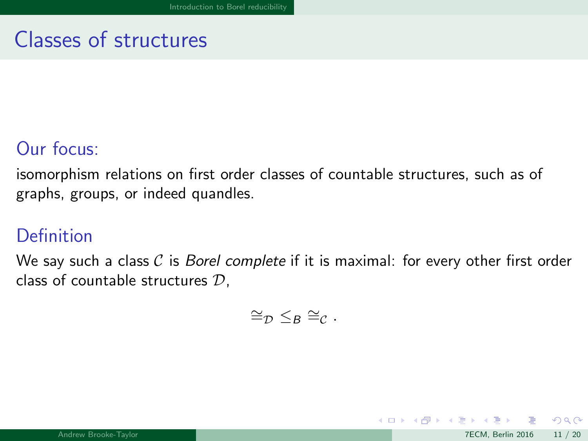# <span id="page-21-0"></span>Classes of structures

### Our focus:

isomorphism relations on first order classes of countable structures, such as of graphs, groups, or indeed quandles.

#### Definition

We say such a class  $C$  is *Borel complete* if it is maximal: for every other first order class of countable structures D,

$$
\cong_{\mathcal{D}} \leq_B \cong_{\mathcal{C}}.
$$

 $\Omega$ 

イロト イ押 トイヨ トイヨ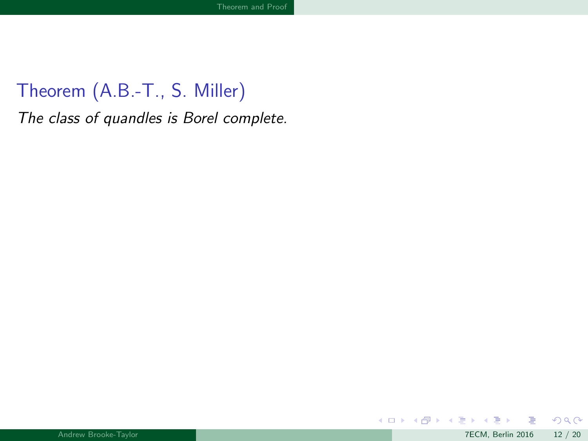<span id="page-22-0"></span>The class of quandles is Borel complete.

 $299$ 

メロメ メ御 メメ きょうぼき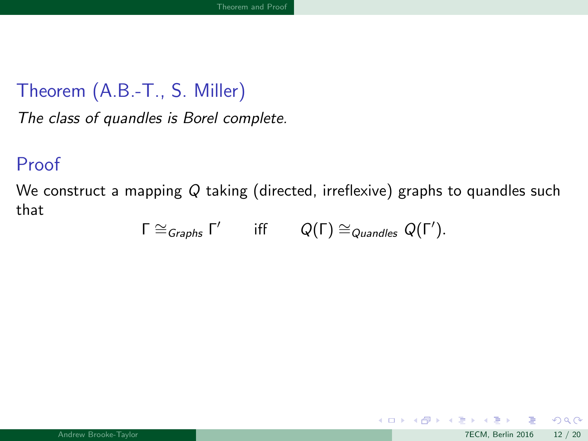<span id="page-23-0"></span>The class of quandles is Borel complete.

#### Proof

We construct a mapping Q taking (directed, irreflexive) graphs to quandles such that

$$
\Gamma \cong_{Graphs} \Gamma' \qquad \text{iff} \qquad Q(\Gamma) \cong_{Quandles} Q(\Gamma').
$$

 $\Omega$ 

メロト メ都 トメ ミトメ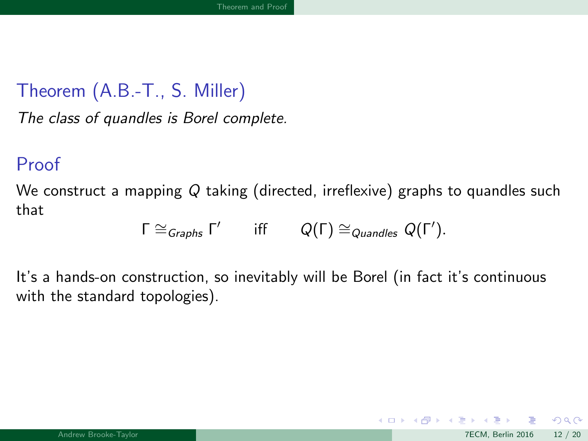<span id="page-24-0"></span>The class of quandles is Borel complete.

#### Proof

We construct a mapping Q taking (directed, irreflexive) graphs to quandles such that

$$
\Gamma \cong_{Graphs} \Gamma' \qquad \text{iff} \qquad Q(\Gamma) \cong_{Quandles} Q(\Gamma').
$$

It's a hands-on construction, so inevitably will be Borel (in fact it's continuous with the standard topologies).

 $\Omega$ 

 $\left\{ \begin{array}{ccc} 1 & 0 & 0 \\ 0 & 1 & 0 \end{array} \right\}$  ,  $\left\{ \begin{array}{ccc} 0 & 0 & 0 \\ 0 & 0 & 0 \end{array} \right\}$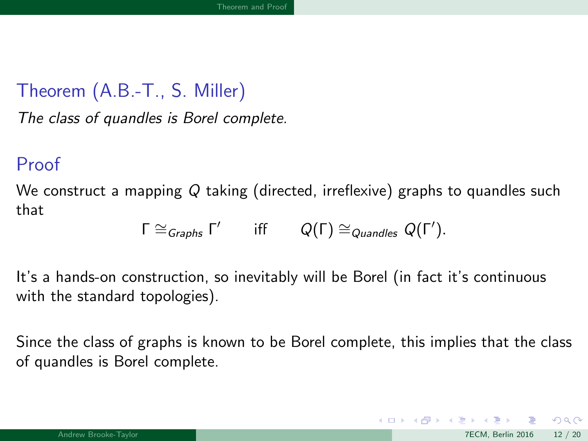<span id="page-25-0"></span>The class of quandles is Borel complete.

#### Proof

We construct a mapping Q taking (directed, irreflexive) graphs to quandles such that

$$
\Gamma \cong_{Graphs} \Gamma' \qquad \text{iff} \qquad Q(\Gamma) \cong_{Quandles} Q(\Gamma').
$$

It's a hands-on construction, so inevitably will be Borel (in fact it's continuous with the standard topologies).

Since the class of graphs is known to be Borel complete, this implies that the class of quandles is Borel complete.

 $\Omega$ 

 $\left\{ \begin{array}{ccc} 1 & 0 & 0 \\ 0 & 1 & 0 \end{array} \right.$   $\left\{ \begin{array}{ccc} 0 & 0 & 0 \\ 0 & 0 & 0 \end{array} \right.$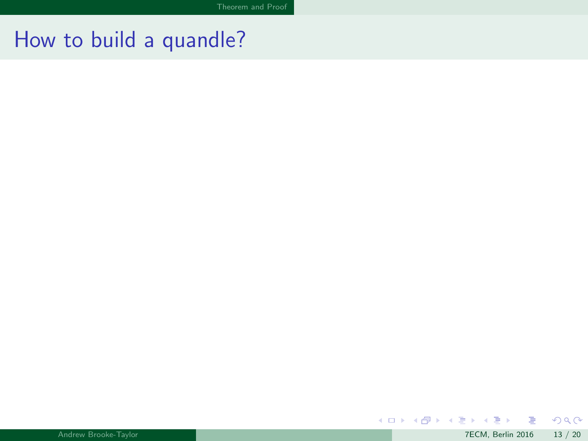$299$ 

<span id="page-26-0"></span>メロトメ 御 トメ 君 トメ 君 ト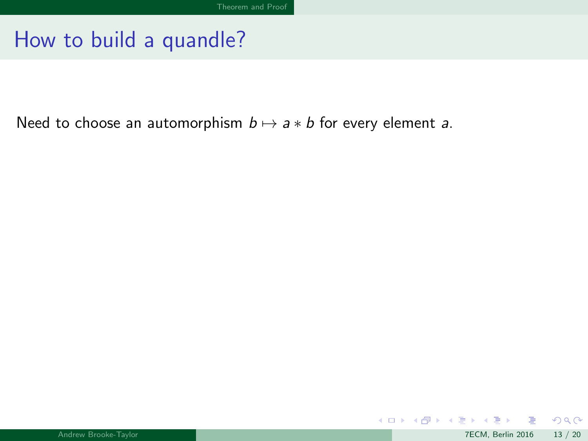<span id="page-27-0"></span>Need to choose an automorphism  $b \mapsto a * b$  for every element a.

 $299$ 

K ロメ X 御 X X 평 X X 평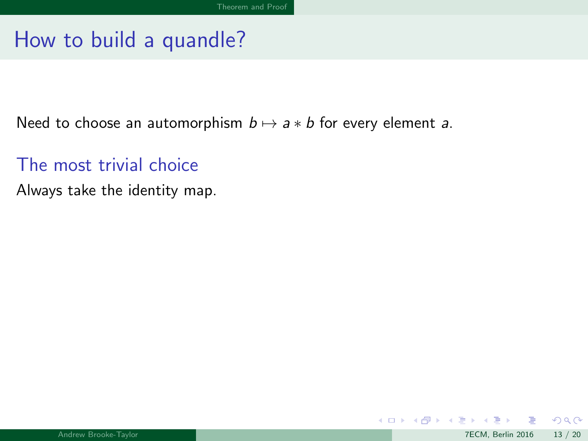<span id="page-28-0"></span>Need to choose an automorphism  $b \mapsto a * b$  for every element a.

The most trivial choice

Always take the identity map.

K ロ ▶ K 御 ▶ K 경 ▶ K 경

 $QQ$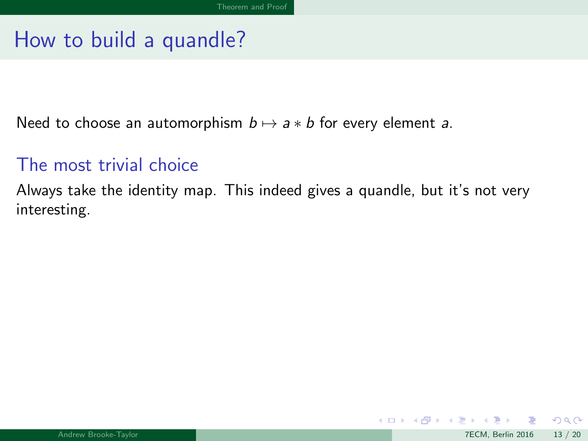<span id="page-29-0"></span>Need to choose an automorphism  $b \mapsto a * b$  for every element a.

#### The most trivial choice

Always take the identity map. This indeed gives a quandle, but it's not very interesting.

 $\Omega$ 

K ロ ▶ K 御 ▶ K 경 ▶ K 경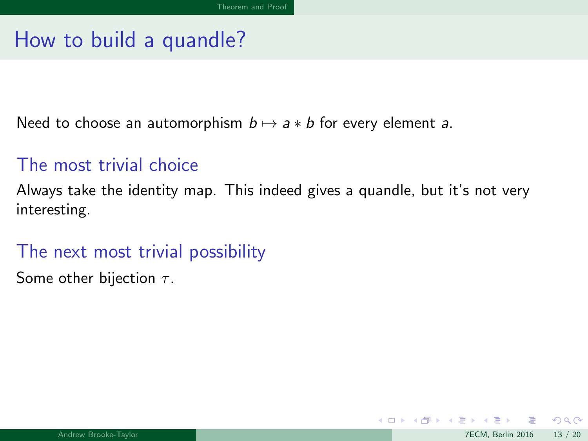<span id="page-30-0"></span>Need to choose an automorphism  $b \mapsto a * b$  for every element a.

#### The most trivial choice

Always take the identity map. This indeed gives a quandle, but it's not very interesting.

#### The next most trivial possibility

Some other bijection  $\tau$ .

 $\Omega$ 

イロト イ押 トイヨ トイヨ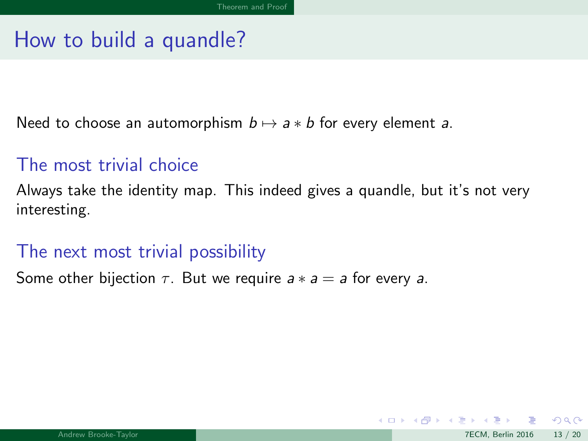<span id="page-31-0"></span>Need to choose an automorphism  $b \mapsto a * b$  for every element a.

#### The most trivial choice

Always take the identity map. This indeed gives a quandle, but it's not very interesting.

#### The next most trivial possibility

Some other bijection  $\tau$ . But we require  $a * a = a$  for every a.

 $\Omega$ 

 $\left\{ \begin{array}{ccc} 1 & 0 & 0 \\ 0 & 1 & 0 \end{array} \right.$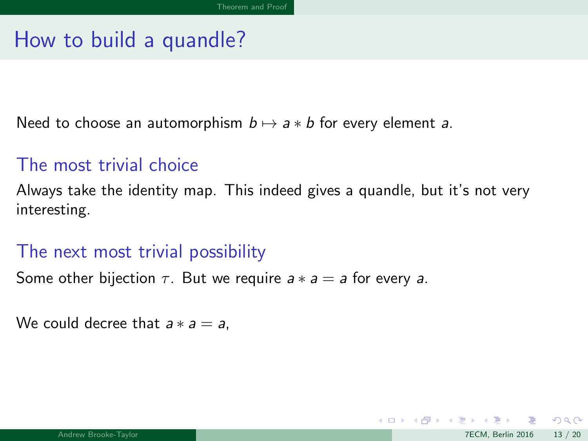<span id="page-32-0"></span>Need to choose an automorphism  $b \mapsto a * b$  for every element a.

#### The most trivial choice

Always take the identity map. This indeed gives a quandle, but it's not very interesting.

#### The next most trivial possibility

Some other bijection  $\tau$ . But we require  $a * a = a$  for every a.

We could decree that  $a * a = a$ .

 $\Omega$ 

イロト イ押 トイヨ トイヨ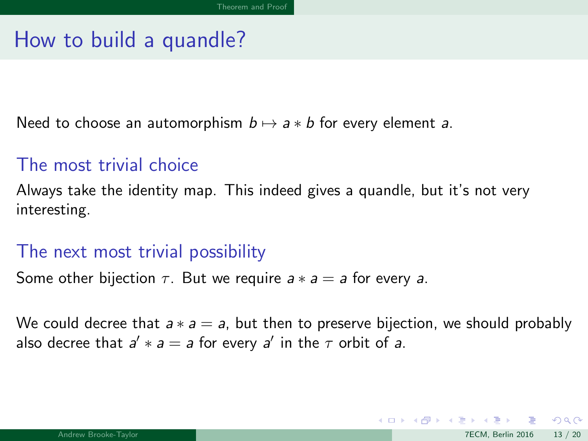<span id="page-33-0"></span>Need to choose an automorphism  $b \mapsto a * b$  for every element a.

#### The most trivial choice

Always take the identity map. This indeed gives a quandle, but it's not very interesting.

#### The next most trivial possibility

Some other bijection  $\tau$ . But we require  $a * a = a$  for every a.

We could decree that  $a * a = a$ , but then to preserve bijection, we should probably also decree that  $a' * a = a$  for every  $a'$  in the  $\tau$  orbit of a.

 $\Omega$ 

 $\left\{ \begin{array}{ccc} 1 & 0 & 0 \\ 0 & 1 & 0 \end{array} \right.$   $\left\{ \begin{array}{ccc} 0 & 0 & 0 \\ 0 & 0 & 0 \end{array} \right.$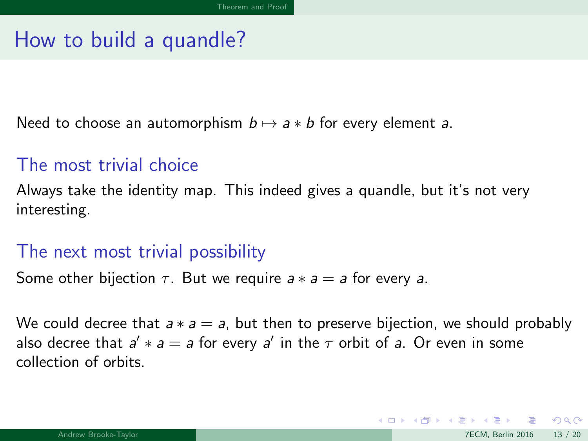<span id="page-34-0"></span>Need to choose an automorphism  $b \mapsto a * b$  for every element a.

#### The most trivial choice

Always take the identity map. This indeed gives a quandle, but it's not very interesting.

#### The next most trivial possibility

Some other bijection  $\tau$ . But we require  $a * a = a$  for every a.

We could decree that  $a * a = a$ , but then to preserve bijection, we should probably also decree that  $a' * a = a$  for every  $a'$  in the  $\tau$  orbit of  $a$ . Or even in some collection of orbits.

 $\Omega$ 

 $\left\{ \begin{array}{ccc} 1 & 0 & 0 \\ 0 & 1 & 0 \end{array} \right.$   $\left\{ \begin{array}{ccc} 0 & 0 & 0 \\ 0 & 0 & 0 \end{array} \right.$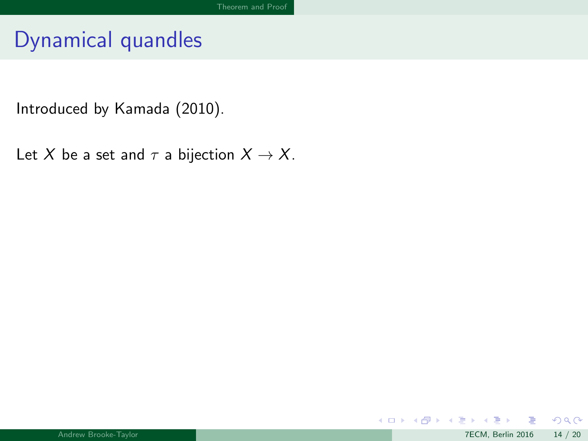<span id="page-35-0"></span>Introduced by Kamada (2010).

Let X be a set and  $\tau$  a bijection  $X \to X$ .

 $299$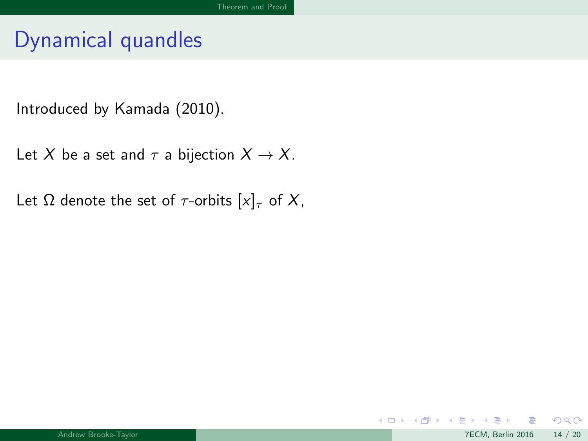<span id="page-36-0"></span>Introduced by Kamada (2010).

Let X be a set and  $\tau$  a bijection  $X \to X$ .

Let  $\Omega$  denote the set of  $\tau$ -orbits  $[x]_{\tau}$  of X,

 $299$ 

メロメ メ都 メメ ミメ メヨメ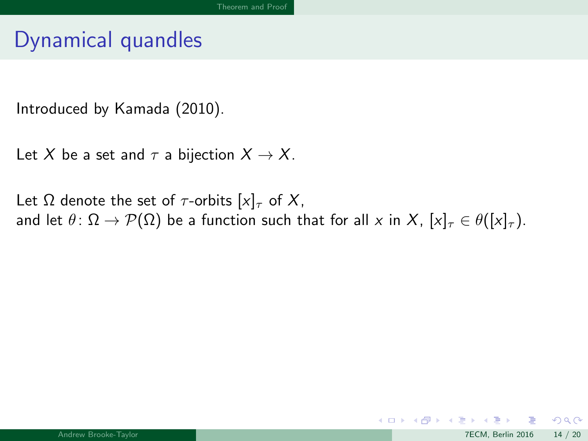<span id="page-37-0"></span>Introduced by Kamada (2010).

Let X be a set and  $\tau$  a bijection  $X \to X$ .

Let  $\Omega$  denote the set of  $\tau$ -orbits  $[x]_{\tau}$  of X, and let  $\theta: \Omega \to \mathcal{P}(\Omega)$  be a function such that for all x in X,  $[x]_{\tau} \in \theta([x]_{\tau})$ .

メロメ メ都 メメ ミメ メヨメ

 $299$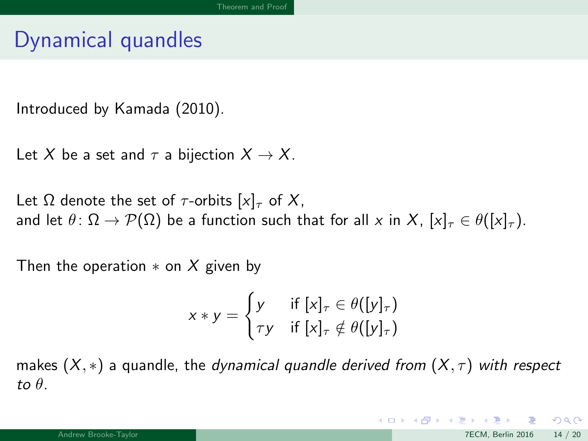<span id="page-38-0"></span>Introduced by Kamada (2010).

Let X be a set and  $\tau$  a bijection  $X \to X$ .

Let  $\Omega$  denote the set of  $\tau$ -orbits  $[x]_{\tau}$  of X, and let  $\theta: \Omega \to \mathcal{P}(\Omega)$  be a function such that for all x in X,  $[x]_{\tau} \in \theta([x]_{\tau})$ .

Then the operation  $*$  on X given by

$$
x * y = \begin{cases} y & \text{if } [x]_{\tau} \in \theta([y]_{\tau}) \\ \tau y & \text{if } [x]_{\tau} \notin \theta([y]_{\tau}) \end{cases}
$$

makes  $(X, *)$  a quandle, the *dynamical quandle derived from*  $(X, \tau)$  with respect to  $\theta$ .

 $QQ$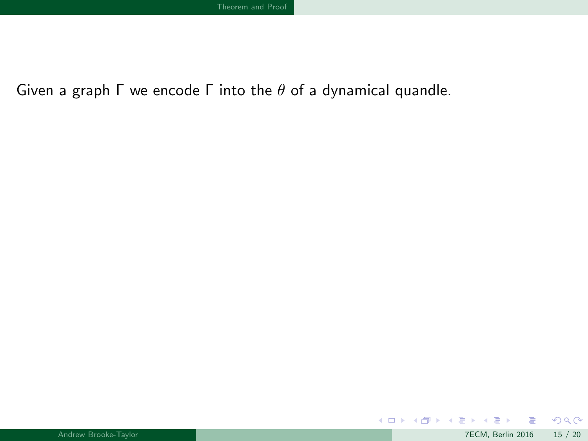<span id="page-39-0"></span>Given a graph Γ we encode Γ into the  $θ$  of a dynamical quandle.

 $299$ 

メロトメ 倒 トメ ミトメ ミト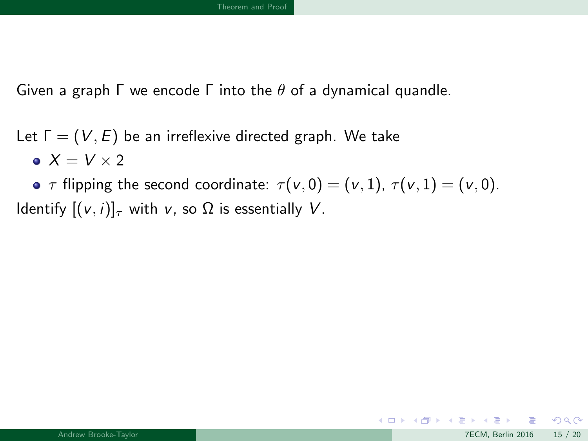<span id="page-40-0"></span>Given a graph  $\Gamma$  we encode  $\Gamma$  into the  $\theta$  of a dynamical quandle.

Let  $\Gamma = (V, E)$  be an irreflexive directed graph. We take  $X = V \times 2$ 

•  $\tau$  flipping the second coordinate:  $\tau(v, 0) = (v, 1), \tau(v, 1) = (v, 0)$ . Identify  $[(v, i)]_{\tau}$  with v, so  $\Omega$  is essentially V.

 $2990$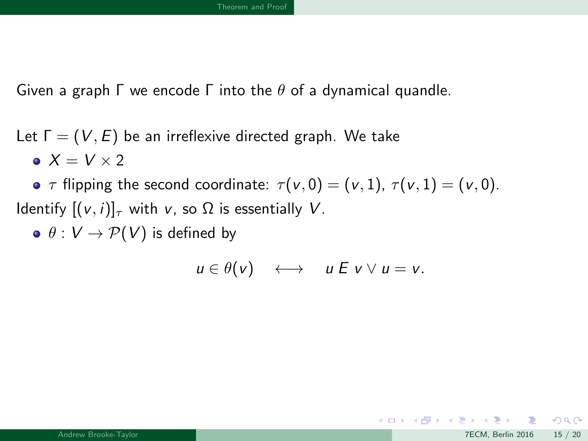<span id="page-41-0"></span>Given a graph  $\Gamma$  we encode  $\Gamma$  into the  $\theta$  of a dynamical quandle.

Let  $\Gamma = (V, E)$  be an irreflexive directed graph. We take  $X = V \times 2$ 

•  $\tau$  flipping the second coordinate:  $\tau(v, 0) = (v, 1), \tau(v, 1) = (v, 0)$ . Identify  $[(v, i)]_{\tau}$  with v, so  $\Omega$  is essentially V.

 $\bullet$   $\theta$  :  $V \rightarrow \mathcal{P}(V)$  is defined by

$$
u\in\theta(v)\quad\longleftrightarrow\quad u\mathrel{E} v\vee u=v.
$$

 $QQ$ 

メロメ メ御き メミメ メミメ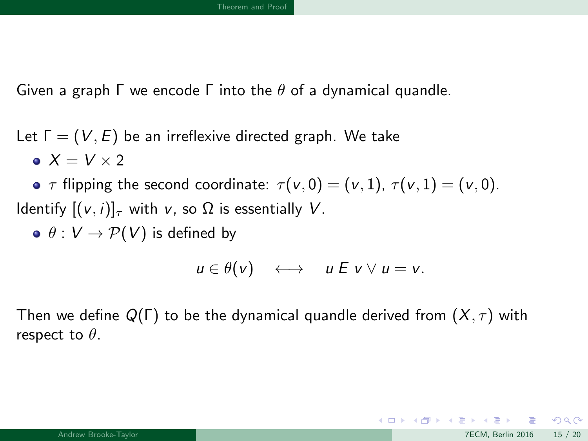<span id="page-42-0"></span>Given a graph  $\Gamma$  we encode  $\Gamma$  into the  $\theta$  of a dynamical quandle.

Let  $\Gamma = (V, E)$  be an irreflexive directed graph. We take  $X = V \times 2$ 

•  $\tau$  flipping the second coordinate:  $\tau(v, 0) = (v, 1), \tau(v, 1) = (v, 0)$ . Identify  $[(v, i)]_{\tau}$  with v, so  $\Omega$  is essentially V.

 $\bullet$   $\theta: V \rightarrow \mathcal{P}(V)$  is defined by

$$
u\in\theta(v)\quad\longleftrightarrow\quad u\mathrel{E} v\vee u=v.
$$

Then we define  $Q(\Gamma)$  to be the dynamical quandle derived from  $(X,\tau)$  with respect to  $\theta$ .

 $\Omega$ 

メロメ メ御き メミメ メミメ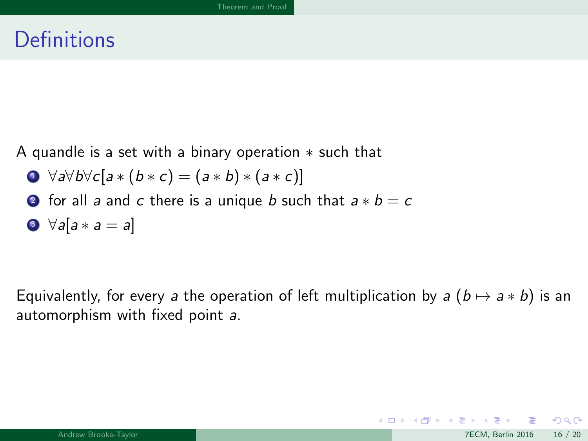### <span id="page-43-0"></span>**Definitions**

A quandle is a set with a binary operation ∗ such that

$$
\bullet \ \forall a\forall b\forall c[a*(b*c)=(a*b)*(a*c)]
$$

**2** for all a and c there is a unique b such that  $a * b = c$ 

$$
\bullet \ \forall a[a*a=a]
$$

Equivalently, for every a the operation of left multiplication by a  $(b \mapsto a * b)$  is an automorphism with fixed point a.

 $QQ$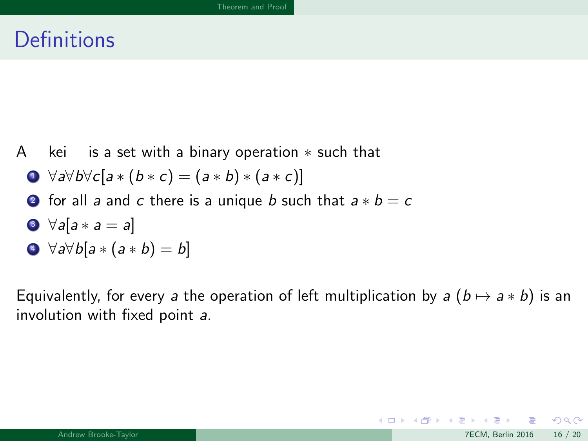### <span id="page-44-0"></span>**Definitions**

A kei is a set with a binary operation  $*$  such that

$$
\bullet \ \forall a \forall b \forall c [a * (b * c) = (a * b) * (a * c)]
$$

**2** for all a and c there is a unique b such that  $a * b = c$ 

$$
\bullet \ \forall a[a*a=a]
$$

$$
\bullet \ \forall a \forall b [a * (a * b) = b]
$$

Equivalently, for every a the operation of left multiplication by a  $(b \mapsto a * b)$  is an involution with fixed point a.

 $QQ$ 

K ロ ▶ K 個 ▶ K 듣 ▶ K 듣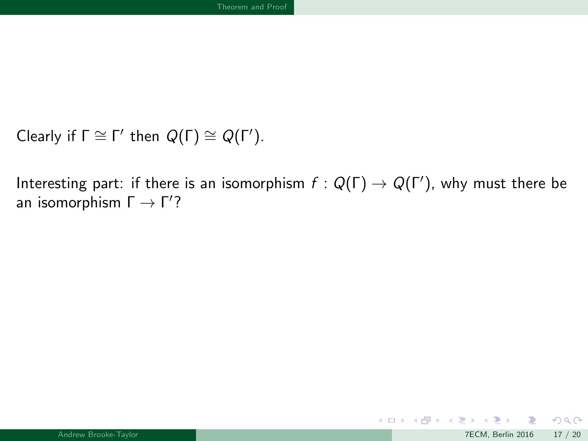```
Clearly if \Gamma \cong \Gamma' then Q(\Gamma) \cong Q(\Gamma').
```
Interesting part: if there is an isomorphism  $f: Q(\Gamma) \to Q(\Gamma')$ , why must there be an isomorphism  $\Gamma \rightarrow \Gamma^{\prime}$ ?

メロト メ御 トメ ヨ トメ ヨト

 $299$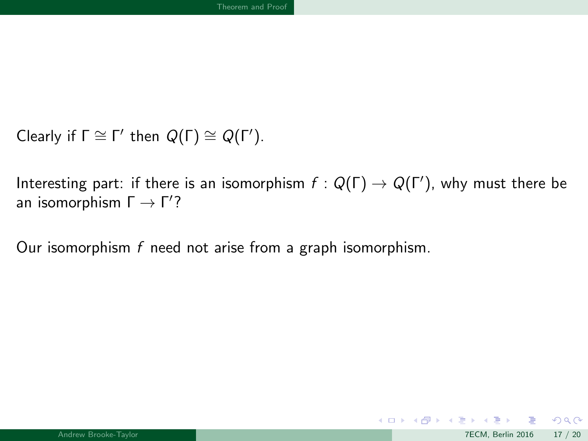```
Clearly if \Gamma \cong \Gamma' then Q(\Gamma) \cong Q(\Gamma').
```
Interesting part: if there is an isomorphism  $f: Q(\Gamma) \to Q(\Gamma')$ , why must there be an isomorphism  $\Gamma \rightarrow \Gamma^{\prime}$ ?

Our isomorphism  $f$  need not arise from a graph isomorphism.

メロメ メ都 メメ ミメ メヨメ

 $299$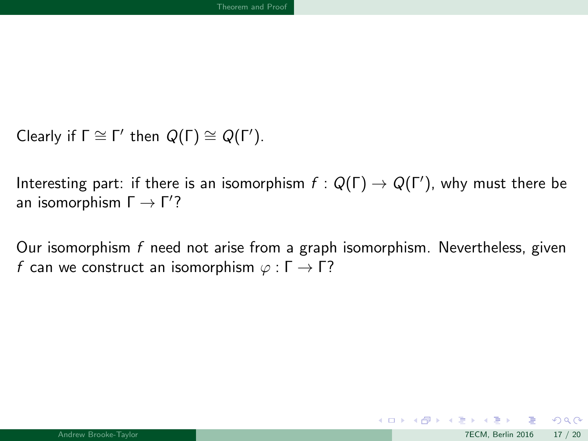```
Clearly if \Gamma \cong \Gamma' then Q(\Gamma) \cong Q(\Gamma').
```
Interesting part: if there is an isomorphism  $f: Q(\Gamma) \to Q(\Gamma')$ , why must there be an isomorphism  $\Gamma \rightarrow \Gamma^{\prime}$ ?

Our isomorphism  $f$  need not arise from a graph isomorphism. Nevertheless, given f can we construct an isomorphism  $\varphi : \Gamma \to \Gamma$ ?

 $QQ$ 

メロメ メ都 メメ ミメ メヨメ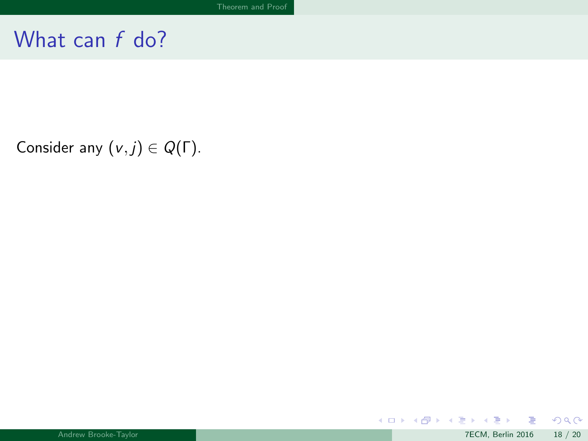<span id="page-48-0"></span>Consider any  $(v, j) \in Q(\Gamma)$ .

 $299$ 

メロトメ 伊 トメ 君 トメ 君 ト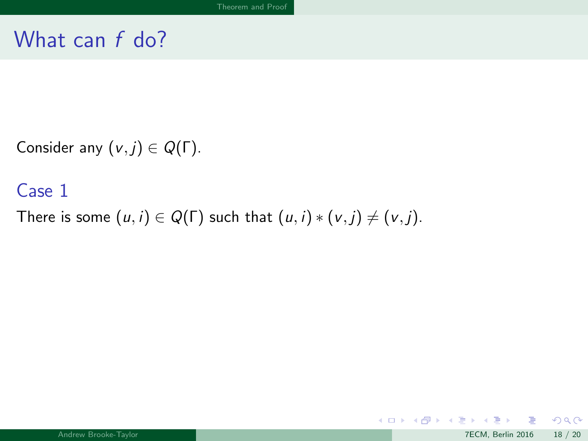<span id="page-49-0"></span>Consider any  $(v, j) \in Q(\Gamma)$ .

#### Case 1

There is some  $(u, i) \in Q(\Gamma)$  such that  $(u, i) * (v, j) \neq (v, j)$ .

 $299$ 

メロトメ 倒 トメ ミトメ ミト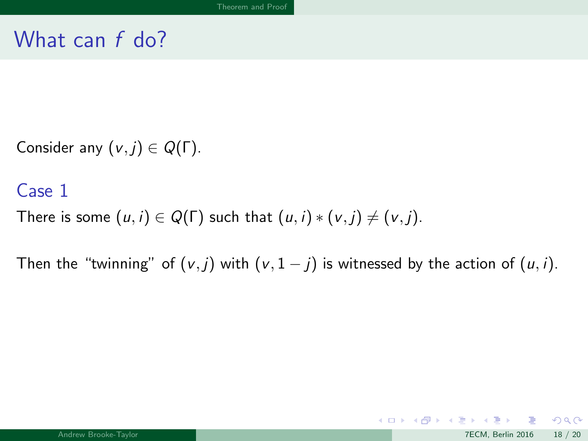<span id="page-50-0"></span>Consider any  $(v, j) \in Q(\Gamma)$ .

#### Case 1

There is some  $(u, i) \in Q(\Gamma)$  such that  $(u, i) * (v, j) \neq (v, j)$ .

Then the "twinning" of  $(v, j)$  with  $(v, 1 - j)$  is witnessed by the action of  $(u, i)$ .

 $2990$ 

メロトメ 倒 トメ ミトメ ミト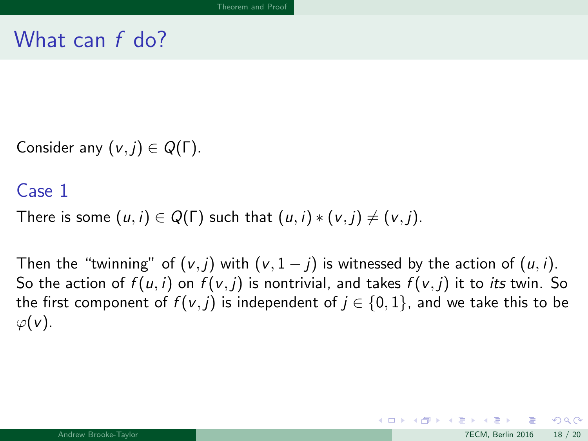<span id="page-51-0"></span>Consider any  $(v, j) \in Q(\Gamma)$ .

#### Case 1

There is some  $(u, i) \in Q(\Gamma)$  such that  $(u, i) * (v, j) \neq (v, j)$ .

Then the "twinning" of  $(v, j)$  with  $(v, 1 - j)$  is witnessed by the action of  $(u, i)$ . So the action of  $f(u, i)$  on  $f(v, i)$  is nontrivial, and takes  $f(v, i)$  it to *its* twin. So the first component of  $f(v, j)$  is independent of  $j \in \{0, 1\}$ , and we take this to be  $\varphi(v)$ .

 $\Omega$ 

メロト メ母 トメミト メミト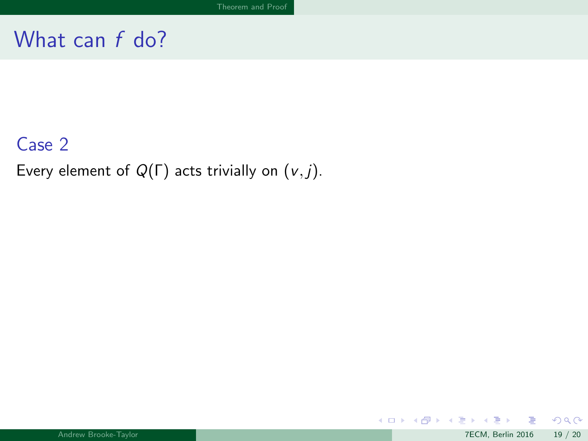### <span id="page-52-0"></span>Case 2

Every element of  $Q(\Gamma)$  acts trivially on  $(v, j)$ .

 $299$ 

メロトメ 倒 トメ ミトメ ミト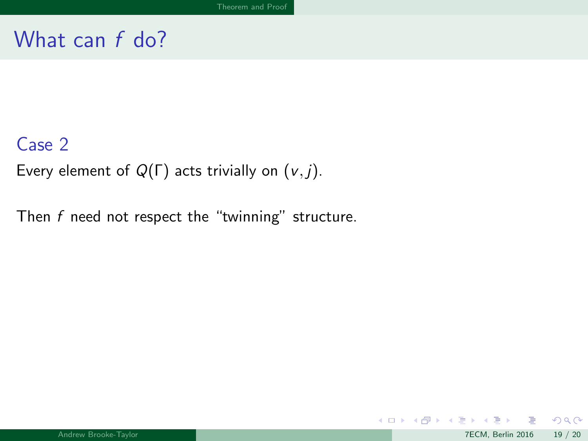#### <span id="page-53-0"></span>Case 2

Every element of  $Q(\Gamma)$  acts trivially on  $(v, j)$ .

Then  $f$  need not respect the "twinning" structure.

 $299$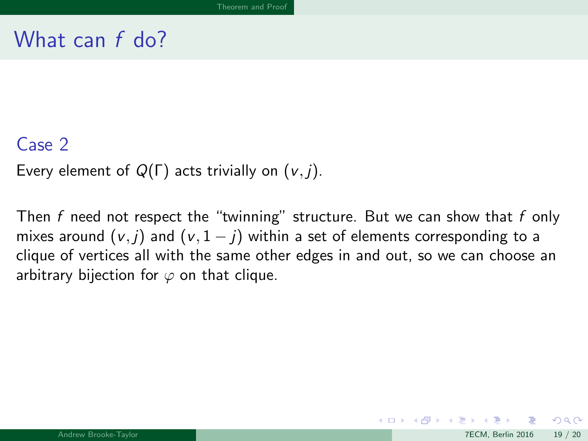#### <span id="page-54-0"></span>Case 2

Every element of  $Q(\Gamma)$  acts trivially on  $(v, j)$ .

Then f need not respect the "twinning" structure. But we can show that f only mixes around  $(v, j)$  and  $(v, 1 - j)$  within a set of elements corresponding to a clique of vertices all with the same other edges in and out, so we can choose an arbitrary bijection for  $\varphi$  on that clique.

 $\Omega$ 

メロメ メ御 メメ きょくきょ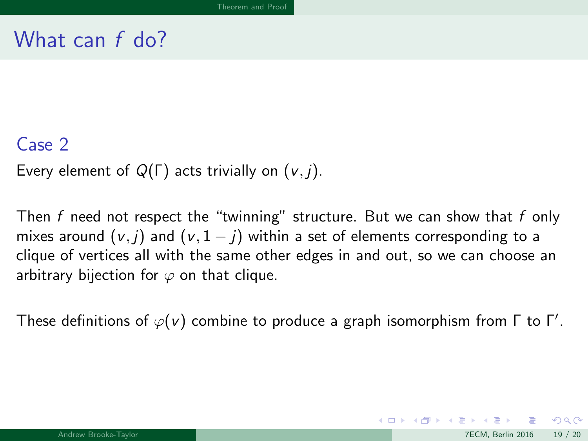#### <span id="page-55-0"></span>Case 2

Every element of  $Q(\Gamma)$  acts trivially on  $(v, j)$ .

Then f need not respect the "twinning" structure. But we can show that f only mixes around  $(v, j)$  and  $(v, 1 - j)$  within a set of elements corresponding to a clique of vertices all with the same other edges in and out, so we can choose an arbitrary bijection for  $\varphi$  on that clique.

These definitions of  $\varphi(\nu)$  combine to produce a graph isomorphism from  $\Gamma$  to  $\Gamma'.$ 

 $\Omega$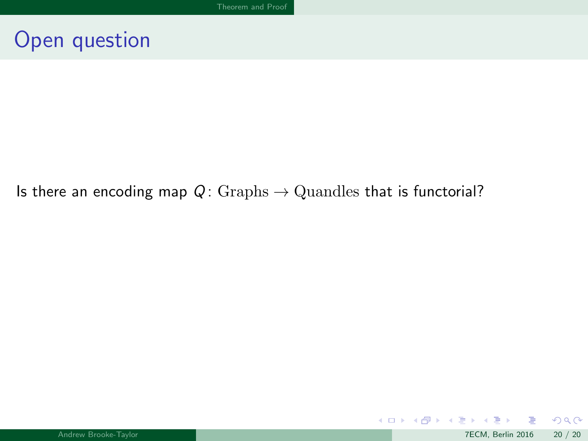## <span id="page-56-0"></span>Open question

#### Is there an encoding map  $Q: Graphs \rightarrow Quantles$  that is functorial?

 $299$